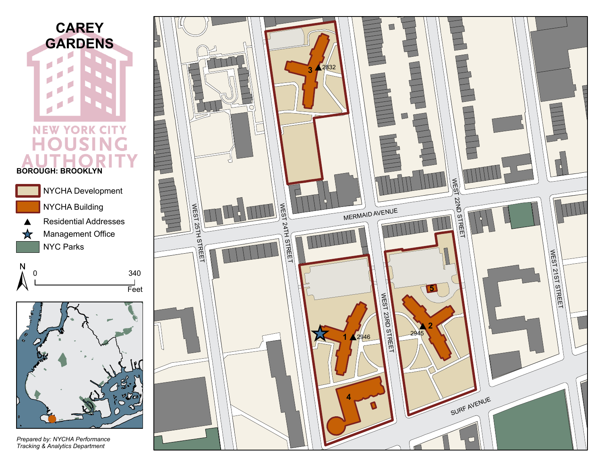







*Prepared by: NYCHA Performance*